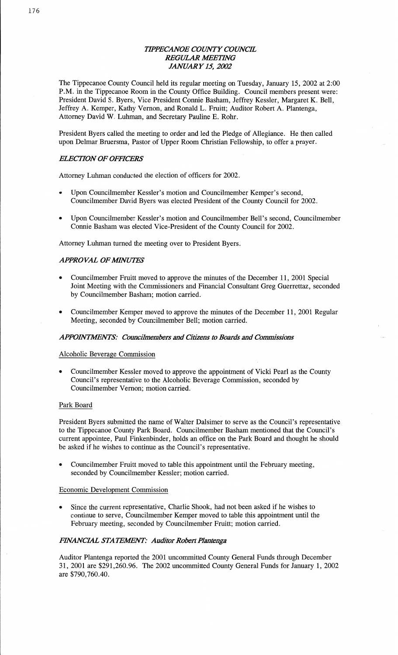# *TH'PEC'ANOE COUNTY COWCE*  **REGULAR MEETING** *JANUARY* 15, *2002*

The Tippecanoe County Council held its regular meeting on Tuesday, January 15, 2002 at 2:00 P.M. in the Tippecanoe Room in the County Office Building. Council members present were: President David S. Byers, Vice President Connie Basham, Jeffrey Kessler, Margaret K. **Bell,**  Jeffrey A. Kemper, Kathy Vernon, and Ronald L. Fruitt; Auditor Robert A. Plantenga, Attorney David W. **Luhman,** and Secretary Pauline E. Rohr.

President Byers called the meeting to order and led the Pledge of Allegiance. He then called upon Delmar Bruersma, Pastor of Upper Room Christian Fellpwship, to offer a prayer.

# *ELECTION* OF *OFFICERS*

Attorney Luhman conducted the election of officers for 2002.

- **0** Upon Councilmember Kessler's motion and Councilmember Kemper's second, Councilmember **David** Byers was elected President of the County Council for 2002.
- *0* Upon Councilmember Kessler's motion and Councilmember **Bell's** second, Councilmember Connie Basham was elected Vice-President of the County **Council** for 2002. '

Attorney **Luhman** turned the meeting over to President Byers.

## *APPROVAL OF MINUTES*

- **o** Councilmember Fruitt moved to approve the minutes of the December 11, 2001 Special Joint Meeting with the Commissioners and **Financial** Consultant Greg Guerrettaz, seconded by Councilmember Basham; motion carried.
- **0** Councilmember Kemper moved to approve the minutes of the December 11, 2001 Regular Meeting, seconded by Councilmember Bell; motion carried.

# *APPOBVTAIENTS: Councilmembem* and *Citizens* to *Board;* and *Commissions*

#### Alcoholic Beverage Commission

**<sup>0</sup>**Councilmember Kessler moved to approve the **appointment** of Vicki Pearl as the County Council's representative to the Alcoholic Beverage Commission, seconded by Councilmember Vernon; motion carried.

#### Park Board

President Byers submitted the name of Walter Dalsimer to serve as the Council's representative to the Tippecanoe County Park Board. Councilmember **Basham mentioned** that the Council's current appointee, Paul Finkenbinder, holds an office on the Park Board and thought he should be asked if he wishes to continue as the Council's representative.

**0** Councilmember Fruitt moved to table this appointment until the February meeting, seconded by Councilmember Kessler; motion carried.

## Economic Development Commission

**0** Since the current representative, Charlie **Shook,** had not been asked if he wishes to continue to serve, Councilmember Kemper moved to table this appointment until the February meeting, seconded by Councilmember Fruitt; motion carried.

#### *FINANCIAL* STA *TEJWENT: Auditor Robert Plantenga*

Auditor Plantenga reported the 2001 uncommitted County General Funds through December 31, 2001 are \$291,260.96. The 2002 uncommitted County General Funds for January 1, 2002 are \$790,760.40.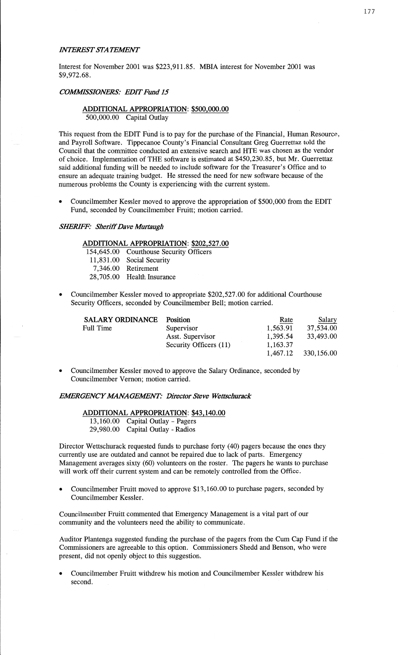#### **INTEREST STATEMENT**

Interest for November 2001 was \$223,911.85. MBIA interest for November 2001 was \$9,972.68.

#### *COMMSSIONERS: EDIT Fund* 15

### **ADDITIONAL** APPROPRIATION: \$500,000.00 500,000.00 Capital Outlay

This request from the EDIT Fund is to pay for the purchase of the Financial, Human Resource, and Payroll Software. Tippecanoe County's **Financial** Consultant Greg Guerrettaz told the Council that the committee conducted an extensive search and HTE was chosen as the vendor of choice. Implementation of THE software is estimated at \$450,230.85, but Mr. Guerrettaz said additional **funding** will be needed to include software for the Treasurer's Office and to ensure an adequate training budget. He stressed the need for new software because of the numerous problems the County is experiencing with the current system.

**-** Councilmember Kessler moved to approve the appropriation of \$500,000 from the EDIT Fund, seconded by Councilmember Fruitt; motion carried.

#### **SHERIFF: Sheriff Dave Murtaugh**

## **ADDITIONAL APPROPRIATION:** \$202,527.00

154,645.00 Courthouse Security Officers 11,831.00 Social Security 7,346.00 Retirement

28,705.00 Health Insurance

**0** Councilmember Kessler **moved** to appropriate \$202,527.00 for additional Courthouse Security Officers, seconded by Councilmember Bell; **motion** carried.

| <b>SALARY ORDINANCE</b> | Position               | Rate     | Salary     |
|-------------------------|------------------------|----------|------------|
| Full Time               | Supervisor             | 1,563.91 | 37,534.00  |
|                         | Asst. Supervisor       | 1,395.54 | 33,493.00  |
|                         | Security Officers (11) | 1,163.37 |            |
|                         |                        | 1,467.12 | 330,156.00 |

**0** Councilmember Kessler **moved** to approve the Salary **Ordinance, seconded** by Councilmember Vernon; motion carried.

#### *EMRGENCYMNAGEWNT' Director Steve Wetts'churack*

# **ADDITIONAL APPROPRIATION: \$43,140.00**

13,160.00 Capital Outlay **—** Pagers 29,980.00 Capital Outlay **-** Radios

Director Wettschurack requested **funds** to purchase forty (40) pagers because the ones they currently use are outdated and cannot be repaired due to lack of parts. Emergency Management averages sixty (60) volunteers on the roster. The pagers he wants to purchase will work off their current system and can be remotely controlled from the Office.

**0** Councilmember Fruitt moved to approve \$13,160.00 to purchase pagers, seconded by Councilmember Kessler.

Councilmember Fruitt commented that Emergency Management is **a** vital part of our community and the volunteers need the ability to communicate.

**Auditor** Plantenga suggested funding the purchase of the pagers from the Cum Cap Fund if the Commissioners are agreeable to **this** option. Commissioners **Shedd** and Benson, who were present, did not openly object to this suggestion.

Councilmember Fruitt withdrew his motion and Councilmember Kessler withdrew his second. *,*  $\alpha$ *<sup>'</sup> <i>x c <i>'***<sub></sub><sup>***x***</sup> <b>***c s*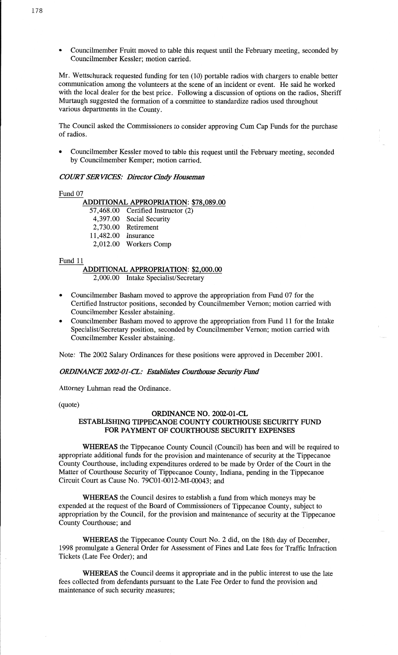*-* Councilmember **Fruitt moved** to **table this** request until the February meeting, seconded by Councilmember Kessler; **motion** carried.

Mr. Wettschurack requested **funding** for ten (10) portable radios with chargers to enable better communication **among** the volunteers at the scene of an incident or **event.** He said he worked with the local dealer for the best **price.** Following **a** discussion of options on the radios, **Sheriff**  Murtaugh suggested the formation of a committee to standardize **radios used** throughout **various** departments in the County.

The Council asked the **Commissioners** to consider approving Cum Cap Funds for the **purchase**  of radios.

**<sup>0</sup>**Councilmember Kessler moved to table this request **until** the February **meeting, seconded**  by Councilmember Kemper; motion carried.

## *COWT* SER *VICES: Director Cindy Houseman*

Fund 07

## **ADDITIONAL APPROPRIATION: \$78,089.00**

57,468.00 Certified **Instructor** (2) **4,397.00** Social Security 2,730.00 Retirement **1** 1,482.00 Insurance 2,012.00 Workers **Comp** 

#### Fund 11

#### **ADDITIONAL APPROPRIATION: \$2,000.00**  2,000.00 **Intake** Specialist/Secretary

- **o** Councilmember Basham moved to approve the appropriation from **Fund** 07 for the Certified Instructor positions, seconded by Councilmember Vernon; motion carried with Councilmember Kessler abstaining.
- **o** Councilmember **Basham** moved to approve the appropriation **from** Fund 11 for the Intake Specialist/Secretary position, seconded by Councilmember Vernon; motion carried with Councilmember Kessler abstaining.

**Note:** The 2002 Salary **Ordinances** for **these positions** were approved in December **2001.** 

#### *ORDINANCE 2002-01-CL: Establishes Courthouse Security Fund*

**Attorney Luhman** read the Ordinance.

# (quote) **ORDINANCE** NO. 2002-01-CL **ESTABLISHING TIPPECANOE** COUNTY **COURTHOUSE SECURITY** FUND FOR **PAYMENT** OF **COURTHOUSE SECURITY EXPENSES**

**WHEREAS** the Tippecanoe County. Council (Council) has been and will be required to appropriate additional funds for the provision and **maintenance** of security at the Tippecanoe County Courthouse, including expenditures ordered to be made by Order of the Court in the Matter of Courthouse Security of Tippecanoe County, **Indiana,** pending in the Tippecanoe Circuit Court as Cause No. 79C01-0012—MI-00043; and

**WHEREAS** the Council desires to establish a fund from which moneys may be **expended** at the request of the Board of **Commissioners** of Tippecanoe **County,** subject to appropriation by the Council, for the provision and maintenance of security at the Tippecanoe County Courthouse; and

WHEREAS the **Tippecanoe County Court** No. **2** did, on the 18th day of December, 1998 promulgate a General Order for Assessment of Fines and Late fees for **Traffic** Infraction Tickets (Late Fee Order); and

**WHEREAS** the Council deems it **appropriateand** in the public interest to use the **late fees** collected from defendants pursuant to the Late Fee Order to fund the **provision** and maintenance of such security measures;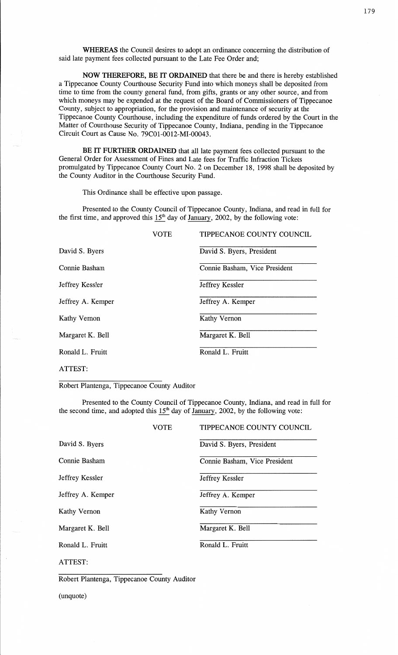**WHEREAS** the Council desires to adopt an **ordinance** concerning the distribution of **said** late payment fees collected pursuant to the Late Fee Order **and;** 

NOW **THEREFORE,** BE IT **ORDAINED** that there be and there is hereby established a Tippecanoe County Courthouse Security Fund into which moneys **shall** be deposited from time to time from the county general fund, from gifts, grants or any other source, and from which moneys may be expended at the request of the Board of Commissioners of Tippecanoe County, subject to appropriation, for the provision and maintenance of security at the Tippecanoe County Courthouse, including the expenditure of funds ordered by the Court in the Matter of Courthouse Security of Tippecanoe County, **Indiana,** pending in the Tippecanoe Circuit Court as Cause No. 79C01—0012—MI—00043.

BE IT **FURTHER ORDAINED** that all late payment fees collected pursuant to the General Order for Assessment of Fines and Late fees for Traffic Infraction Tickets promulgated by Tippecanoe County Court No. 2 on December 18, 1998 **shall** be **deposited** by the County Auditor in the Courthouse Security Fund.

This Ordinance shall be effective upon passage.

Presented to the County Council of Tippecanoe County, **Indiana,** and read in **full** for the first time, and approved this  $15<sup>th</sup>$  day of <u>January</u>, 2002, by the following vote:

|                   | <b>VOTE</b> | TIPPECANOE COUNTY COUNCIL     |
|-------------------|-------------|-------------------------------|
| David S. Byers    |             | David S. Byers, President     |
| Connie Basham     |             | Connie Basham, Vice President |
| Jeffrey Kessler   |             | Jeffrey Kessler               |
| Jeffrey A. Kemper |             | Jeffrey A. Kemper             |
| Kathy Vernon      |             | Kathy Vernon                  |
| Margaret K. Bell  |             | Margaret K. Bell              |
| Ronald L. Fruitt  |             | Ronald L. Fruitt              |
|                   |             |                               |

# ATTEST:

Robert Plantenga, Tippecanoe County Auditor

Presented to the County Council of Tippecanoe County, **Indiana,** and read in full for the second time, and adopted this  $15<sup>th</sup>$  day of January, 2002, by the following vote:

|                   | <b>VOTE</b> | TIPPECANOE COUNTY COUNCIL     |
|-------------------|-------------|-------------------------------|
| David S. Byers    |             | David S. Byers, President     |
| Connie Basham     |             | Connie Basham, Vice President |
| Jeffrey Kessler   |             | Jeffrey Kessler               |
| Jeffrey A. Kemper |             | Jeffrey A. Kemper             |
| Kathy Vernon      |             | Kathy Vernon                  |
| Margaret K. Bell  |             | Margaret K. Bell              |
| Ronald L. Fruitt  |             | Ronald L. Fruitt              |
| ATTEST:           |             |                               |

Robert **Plantenga,** Tippecanoe County **Auditor** 

(unquote)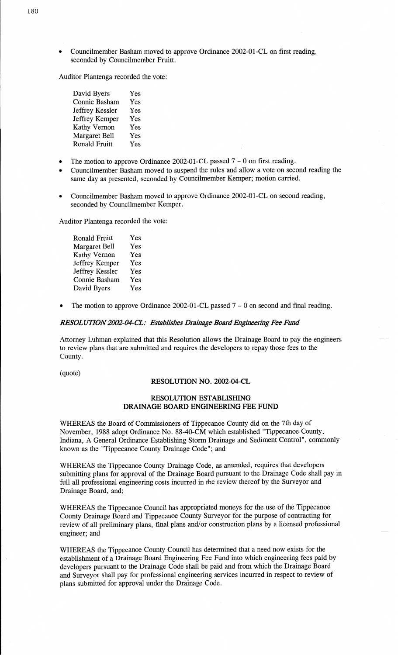**o** Councilmember Basham **moved** to approve Ordinance 2002-01-CL on first reading, **seconded** by Councilmember Pruitt.

**Auditor** Plantenga recorded the vote:

| David Byers          | Yes |
|----------------------|-----|
| Connie Basham        | Yes |
| Jeffrey Kessler      | Yes |
| Jeffrey Kemper       | Yes |
| <b>Kathy Vernon</b>  | Yes |
| Margaret Bell        | Yes |
| <b>Ronald Fruitt</b> | Yes |

- The motion to approve Ordinance 2002—01-CL passed 7 0 on **first** reading.
- Councilmember **Basham** moved to suspend the rules and allow **a** vote on **second** reading the same day as presented, seconded by Councilmember Kemper; motion carried. '
- **o** Councilmember **Basham moved** to approve Ordinance 2002—01-CL on **second** reading, seconded by Councilmember Kemper.

**Auditor** Plantenga recorded the vote:

| <b>Ronald Fruitt</b> | Yes |
|----------------------|-----|
| <b>Margaret Bell</b> | Yes |
| <b>Kathy Vernon</b>  | Yes |
| Jeffrey Kemper       | Yes |
| Jeffrey Kessler      | Yes |
| Connie Basham        | Yes |
| David Byers          | Yes |

The motion to approve Ordinance 2002-01-CL passed  $7 - 0$  on second and final reading.

## *RESOL UT10N2002-04-CL: Establishes* Drainage *Board Engiacéu'ng* Fee *Film!*

Attorney Luhman explained that this Resolution allows the Drainage Board to pay the engineers to review **plans that** are submitted and requires the developers to repay those fees to the **County.** 

# (quote)

## **RESOLUTION** NO. **2002-04—CL**

## **RESOLUTION ESTABLISHING DRAINAGE BOARD ENGINEERING** FEE FUND

**WHEREAS** the Board of Commissioners of Tippecanoe County did on the 7th day of **November,** 1988 adopt Ordinance No. 88-40-CM which established "Tippecanoe County, **Indiana, A** General Ordinance Establishing Storm Drainage and Sediment Control", commonly known as the "Tippecanoe County Drainage Code "; and

WHEREAS the **Tippecanoe** County Drainage Code, as amended, requires **that** developers submitting plans for approval of the Drainage Board pursuant to the Drainage Code **shall** pay in full all professional engineering costs incurred in the review thereof by the Surveyor and Drainage Board, and;

WHEREAS the Tippecanoe Council has appropriated **moneys** for the use of the **Tippecanoe**  County Drainage Board and Tippecanoe County Surveyor for the purpose of contracting for review of all preliminary plans, final **plans and/or** construction **plans** by **a** licensed professional engineer; and

WHEREAS the Tippecanoe County Council has **determined that a** need now **exists** for the **establishment** of **a** Drainage Board Engineering Fee Fund into which engineering fees paid by developers pursuant to the Drainage Code shall be paid and from which the Drainage Board and Surveyor **shall** pay for professional engineering services incurred in respect to review of **plans submitted** for approval under the Drainage Code.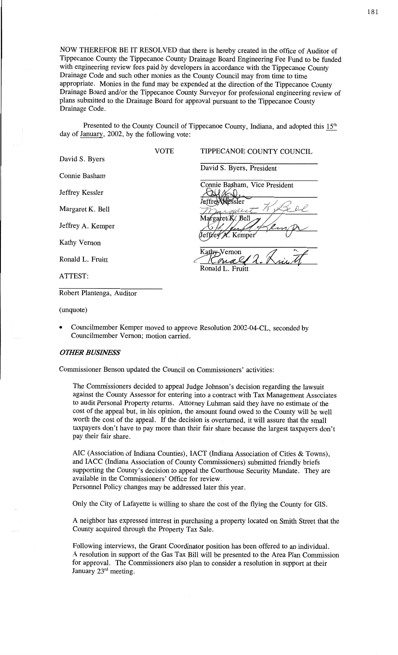NOW THEREFOR BE IT **RESOLVED that** there is hereby created in the office of **Auditor** of Tippecanoe County the Tippecanoe **County** Drainage Board Engineering Fee Fund to be funded with engineering review **fees** paid by developers in accordance with the Tippecanoe County Drainage Code and such other monies as the County Council may from time to **time**  appropriate. Monies in the **fund** may be expended at the direction of the Tippecanoe County Drainage Board and/or the Tippecanoe County Surveyor for professional engineering review of <sup>p</sup>lans submitted to the Drainage Board for approval pursuant to the Tippecanoe County Drainage Code.

Presented to the County Council of Tippecanoe County, Indiana, and adopted this 15<sup>th</sup> day of  $\frac{\text{January}}{\text{12002}}$ , by the following vote:

|                   | VOTE | TIPPECANOE COUNTY COUNCIL     |
|-------------------|------|-------------------------------|
| David S. Byers    |      |                               |
|                   |      | David S. Byers, President     |
| Connie Basham     |      |                               |
|                   |      | Connie Basham, Vice President |
| Jeffrey Kessler   |      |                               |
|                   |      | sler                          |
| Margaret K. Bell  |      |                               |
| Jeffrey A. Kemper |      | Margaret K. Bell              |
|                   |      | Jeffrey N. Kemper             |
| Kathy Vernon      |      |                               |
|                   |      | Kathy-Vernon                  |
| Ronald L. Fruitt  |      |                               |
|                   |      | Ronald L. Fruitt              |
| ATTEST:           |      |                               |

Robert Plantenga, Auditor

(unquote)

**<sup>0</sup>**Councilmember Kemper moved to approve Resolution 2002-04—CL, seconded by Councilmember Vernon; **motion** carried.

## **OTHER BUSINESS**

Commissioner Benson updated the Council on **Commissioners'** activities:

The Commissioners decided to appeal Judge **Johnson's** decision regarding the lawsuit against the County **Assessor** for entering into a **contract** with Tax Management **Associates**  to audit Personal Property returns. Attorney Luhman said they have no estimate of the cost of the appeal but, in his opinion, the amount found owed to the County will be well worth the cost of the appeal. If the decision is **overturned,** it **will** assure that the **small**  taxpayers **don't** have to pay more **than their** fair share because the largest taxpayers **don't**  pay their fair share.

AIC (Association of **Indiana** Counties), **IACT** (Indiana Association of **Cities** & Towns), and IACC **(Indiana** Association of County Commissioners) **submitted** friendly briefs supporting the County's decision to appeal the Courthouse Security Mandate. **They** are available in the Commissioners' Office for review.

Personnel Policy changes may be addressed later this year.

Only the City of Lafayette is willing to share the cost of the flying the County for GIS.

A neighbor has expressed interest in purchasing a property located on **Smith** Street that the County acquired **through** the Property Tax **Sale.** 

Following interviews, the Grant Coordinator **position** has been offered to an individual. **<sup>A</sup>resolution** in support of the Gas Tax Bill will be presented to the Area **Plan** Commission for approval. The **Commissioners also** plan to consider **a** resolution in support at their January 23rd meeting.